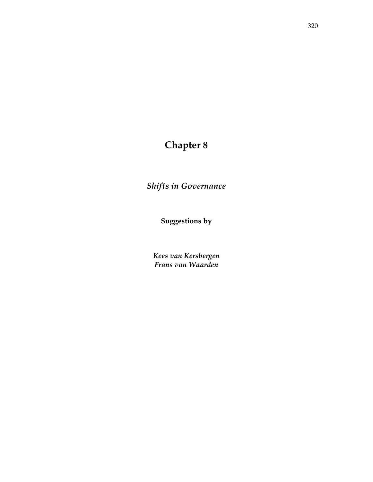# **Chapter 8**

*Shifts in Governance* 

**Suggestions by** 

*Kees van Kersbergen Frans van Waarden*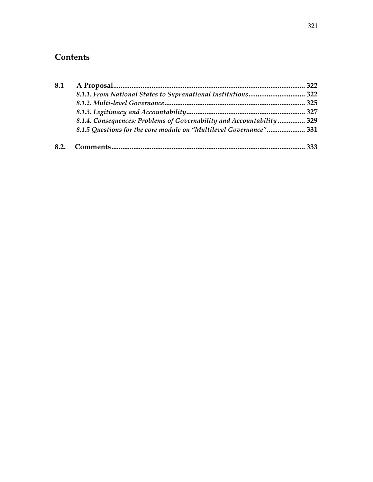# **Contents**

| 8.1 |                                                                       |  |  |
|-----|-----------------------------------------------------------------------|--|--|
|     |                                                                       |  |  |
|     |                                                                       |  |  |
|     |                                                                       |  |  |
|     | 8.1.4. Consequences: Problems of Governability and Accountability 329 |  |  |
|     | 8.1.5 Questions for the core module on "Multilevel Governance" 331    |  |  |
|     |                                                                       |  |  |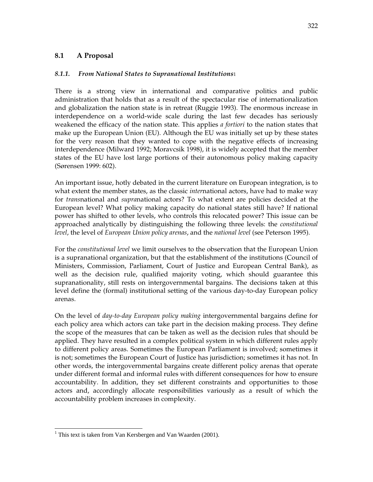# **8.1 A Proposal**

# *8.1.1. From National States to Supranational Institutions*1

There is a strong view in international and comparative politics and public administration that holds that as a result of the spectacular rise of internationalization and globalization the nation state is in retreat (Ruggie 1993). The enormous increase in interdependence on a world-wide scale during the last few decades has seriously weakened the efficacy of the nation state. This applies *a fortiori* to the nation states that make up the European Union (EU). Although the EU was initially set up by these states for the very reason that they wanted to cope with the negative effects of increasing interdependence (Milward 1992; Moravcsik 1998), it is widely accepted that the member states of the EU have lost large portions of their autonomous policy making capacity (Sørensen 1999: 602).

An important issue, hotly debated in the current literature on European integration, is to what extent the member states, as the classic *inter*national actors, have had to make way for *trans*national and *supra*national actors? To what extent are policies decided at the European level? What policy making capacity do national states still have? If national power has shifted to other levels, who controls this relocated power? This issue can be approached analytically by distinguishing the following three levels: the *constitutional level*, the level of *European Union policy arenas*, and the *national level* (see Peterson 1995).

For the *constitutional level* we limit ourselves to the observation that the European Union is a supranational organization, but that the establishment of the institutions (Council of Ministers, Commission, Parliament, Court of Justice and European Central Bank), as well as the decision rule, qualified majority voting, which should guarantee this supranationality, still rests on intergovernmental bargains. The decisions taken at this level define the (formal) institutional setting of the various day-to-day European policy arenas.

On the level of *day-to-day European policy making* intergovernmental bargains define for each policy area which actors can take part in the decision making process. They define the scope of the measures that can be taken as well as the decision rules that should be applied. They have resulted in a complex political system in which different rules apply to different policy areas. Sometimes the European Parliament is involved; sometimes it is not; sometimes the European Court of Justice has jurisdiction; sometimes it has not. In other words, the intergovernmental bargains create different policy arenas that operate under different formal and informal rules with different consequences for how to ensure accountability. In addition, they set different constraints and opportunities to those actors and, accordingly allocate responsibilities variously as a result of which the accountability problem increases in complexity.

-

<sup>&</sup>lt;sup>1</sup> This text is taken from Van Kersbergen and Van Waarden (2001).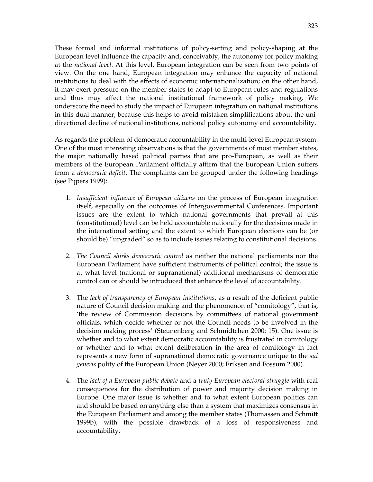These formal and informal institutions of policy-setting and policy-shaping at the European level influence the capacity and, conceivably, the autonomy for policy making at the *national level*. At this level, European integration can be seen from two points of view. On the one hand, European integration may enhance the capacity of national institutions to deal with the effects of economic internationalization; on the other hand, it may exert pressure on the member states to adapt to European rules and regulations and thus may affect the national institutional framework of policy making. We underscore the need to study the impact of European integration on national institutions in this dual manner, because this helps to avoid mistaken simplifications about the unidirectional decline of national institutions, national policy autonomy and accountability.

As regards the problem of democratic accountability in the multi-level European system: One of the most interesting observations is that the governments of most member states, the major nationally based political parties that are pro-European, as well as their members of the European Parliament officially affirm that the European Union suffers from a *democratic deficit*. The complaints can be grouped under the following headings (see Pijpers 1999):

- 1. *Insufficient influence of European citizens* on the process of European integration itself, especially on the outcomes of Intergovernmental Conferences. Important issues are the extent to which national governments that prevail at this (constitutional) level can be held accountable nationally for the decisions made in the international setting and the extent to which European elections can be (or should be) "upgraded" so as to include issues relating to constitutional decisions.
- 2. *The Council shirks democratic control* as neither the national parliaments nor the European Parliament have sufficient instruments of political control; the issue is at what level (national or supranational) additional mechanisms of democratic control can or should be introduced that enhance the level of accountability.
- 3. The *lack of transparency of European institutions*, as a result of the deficient public nature of Council decision making and the phenomenon of "comitology", that is, 'the review of Commission decisions by committees of national government officials, which decide whether or not the Council needs to be involved in the decision making process' (Steunenberg and Schmidtchen 2000: 15). One issue is whether and to what extent democratic accountability is frustrated in comitology or whether and to what extent deliberation in the area of comitology in fact represents a new form of supranational democratic governance unique to the *sui generis* polity of the European Union (Neyer 2000; Eriksen and Fossum 2000).
- 4. The *lack of a European public debate* and a *truly European electoral struggle* with real consequences for the distribution of power and majority decision making in Europe. One major issue is whether and to what extent European politics can and should be based on anything else than a system that maximizes consensus in the European Parliament and among the member states (Thomassen and Schmitt 1999b), with the possible drawback of a loss of responsiveness and accountability.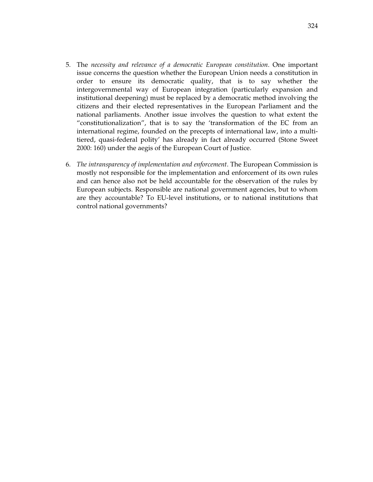- 5. The *necessity and relevance of a democratic European constitution*. One important issue concerns the question whether the European Union needs a constitution in order to ensure its democratic quality, that is to say whether the intergovernmental way of European integration (particularly expansion and institutional deepening) must be replaced by a democratic method involving the citizens and their elected representatives in the European Parliament and the national parliaments. Another issue involves the question to what extent the "constitutionalization", that is to say the 'transformation of the EC from an international regime, founded on the precepts of international law, into a multitiered, quasi-federal polity' has already in fact already occurred (Stone Sweet 2000: 160) under the aegis of the European Court of Justice.
- 6. *The intransparency of implementation and enforcement*. The European Commission is mostly not responsible for the implementation and enforcement of its own rules and can hence also not be held accountable for the observation of the rules by European subjects. Responsible are national government agencies, but to whom are they accountable? To EU-level institutions, or to national institutions that control national governments?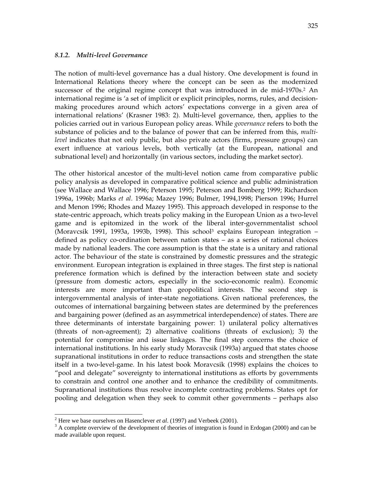The notion of multi-level governance has a dual history. One development is found in International Relations theory where the concept can be seen as the modernized successor of the original regime concept that was introduced in de mid-1970s.<sup>2</sup> An international regime is 'a set of implicit or explicit principles, norms, rules, and decisionmaking procedures around which actors' expectations converge in a given area of international relations' (Krasner 1983: 2). Multi-level governance, then, applies to the policies carried out in various European policy areas. While *governance* refers to both the substance of policies and to the balance of power that can be inferred from this, *multilevel* indicates that not only public, but also private actors (firms, pressure groups) can exert influence at various levels, both vertically (at the European, national and subnational level) and horizontally (in various sectors, including the market sector).

The other historical ancestor of the multi-level notion came from comparative public policy analysis as developed in comparative political science and public administration (see Wallace and Wallace 1996; Peterson 1995; Peterson and Bomberg 1999; Richardson 1996a, 1996b; Marks *et al*. 1996a; Mazey 1996; Bulmer, 1994,1998; Pierson 1996; Hurrel and Menon 1996; Rhodes and Mazey 1995). This approach developed in response to the state-centric approach, which treats policy making in the European Union as a two-level game and is epitomized in the work of the liberal inter-governmentalist school (Moravcsik 1991, 1993a, 1993b, 1998). This school<sup>3</sup> explains European integration  $$ defined as policy co-ordination between nation states – as a series of rational choices made by national leaders. The core assumption is that the state is a unitary and rational actor. The behaviour of the state is constrained by domestic pressures and the strategic environment. European integration is explained in three stages. The first step is national preference formation which is defined by the interaction between state and society (pressure from domestic actors, especially in the socio-economic realm). Economic interests are more important than geopolitical interests. The second step is intergovernmental analysis of inter-state negotiations. Given national preferences, the outcomes of international bargaining between states are determined by the preferences and bargaining power (defined as an asymmetrical interdependence) of states. There are three determinants of interstate bargaining power: 1) unilateral policy alternatives (threats of non-agreement); 2) alternative coalitions (threats of exclusion); 3) the potential for compromise and issue linkages. The final step concerns the choice of international institutions. In his early study Moravcsik (1993a) argued that states choose supranational institutions in order to reduce transactions costs and strengthen the state itself in a two-level-game. In his latest book Moravcsik (1998) explains the choices to "pool and delegate" sovereignty to international institutions as efforts by governments to constrain and control one another and to enhance the credibility of commitments. Supranational institutions thus resolve incomplete contracting problems. States opt for pooling and delegation when they seek to commit other governments – perhaps also

l

<sup>2</sup> Here we base ourselves on Hasenclever *et al*. (1997) and Verbeek (2001).

 $3$  A complete overview of the development of theories of integration is found in Erdogan (2000) and can be made available upon request.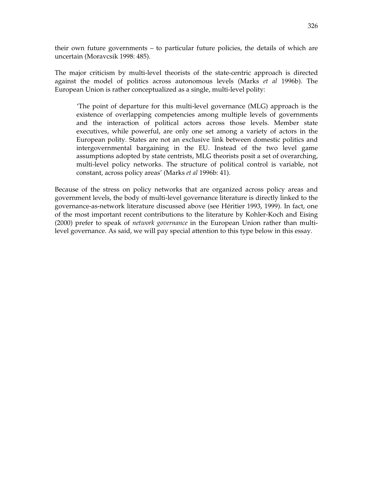their own future governments – to particular future policies, the details of which are uncertain (Moravcsik 1998: 485).

The major criticism by multi-level theorists of the state-centric approach is directed against the model of politics across autonomous levels (Marks *et al* 1996b). The European Union is rather conceptualized as a single, multi-level polity:

'The point of departure for this multi-level governance (MLG) approach is the existence of overlapping competencies among multiple levels of governments and the interaction of political actors across those levels. Member state executives, while powerful, are only one set among a variety of actors in the European polity. States are not an exclusive link between domestic politics and intergovernmental bargaining in the EU. Instead of the two level game assumptions adopted by state centrists, MLG theorists posit a set of overarching, multi-level policy networks. The structure of political control is variable, not constant, across policy areas' (Marks *et al* 1996b: 41).

Because of the stress on policy networks that are organized across policy areas and government levels, the body of multi-level governance literature is directly linked to the governance-as-network literature discussed above (see Héritier 1993, 1999). In fact, one of the most important recent contributions to the literature by Kohler-Koch and Eising (2000) prefer to speak of *network governance* in the European Union rather than multilevel governance. As said, we will pay special attention to this type below in this essay.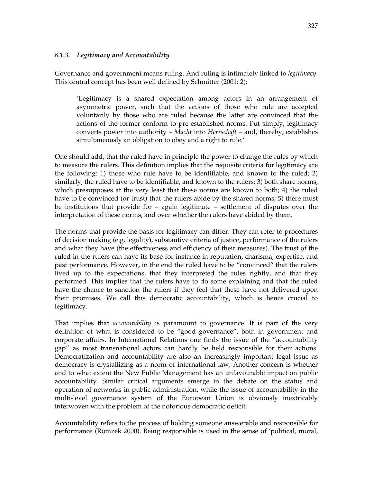#### *8.1.3. Legitimacy and Accountability*

Governance and government means ruling. And ruling is intimately linked to *legitimacy*. This central concept has been well defined by Schmitter (2001: 2):

'Legitimacy is a shared expectation among actors in an arrangement of asymmetric power, such that the actions of those who rule are accepted voluntarily by those who are ruled because the latter are convinced that the actions of the former conform to pre-established norms. Put simply, legitimacy converts power into authority – *Macht* into *Herrschaft* – and, thereby, establishes simultaneously an obligation to obey and a right to rule.'

One should add, that the ruled have in principle the power to change the rules by which to measure the rulers. This definition implies that the requisite criteria for legitimacy are the following: 1) those who rule have to be identifiable, and known to the ruled; 2) similarly, the ruled have to be identifiable, and known to the rulers; 3) both share norms, which presupposes at the very least that these norms are known to both; 4) the ruled have to be convinced (or trust) that the rulers abide by the shared norms; 5) there must be institutions that provide for – again legitimate – settlement of disputes over the interpretation of these norms, and over whether the rulers have abided by them.

The norms that provide the basis for legitimacy can differ. They can refer to procedures of decision making (e.g. legality), substantive criteria of justice, performance of the rulers and what they have (the effectiveness and efficiency of their measures). The trust of the ruled in the rulers can have its base for instance in reputation, charisma, expertise, and past performance. However, in the end the ruled have to be "convinced" that the rulers lived up to the expectations, that they interpreted the rules rightly, and that they performed. This implies that the rulers have to do some explaining and that the ruled have the chance to sanction the rulers if they feel that these have not delivered upon their promises. We call this democratic accountability, which is hence crucial to legitimacy.

That implies that *accountability* is paramount to governance. It is part of the very definition of what is considered to be "good governance", both in government and corporate affairs. In International Relations one finds the issue of the "accountability gap" as most transnational actors can hardly be held responsible for their actions. Democratization and accountability are also an increasingly important legal issue as democracy is crystallizing as a norm of international law. Another concern is whether and to what extent the New Public Management has an unfavourable impact on public accountability. Similar critical arguments emerge in the debate on the status and operation of networks in public administration, while the issue of accountability in the multi-level governance system of the European Union is obviously inextricably interwoven with the problem of the notorious democratic deficit.

Accountability refers to the process of holding someone answerable and responsible for performance (Romzek 2000). Being responsible is used in the sense of 'political, moral,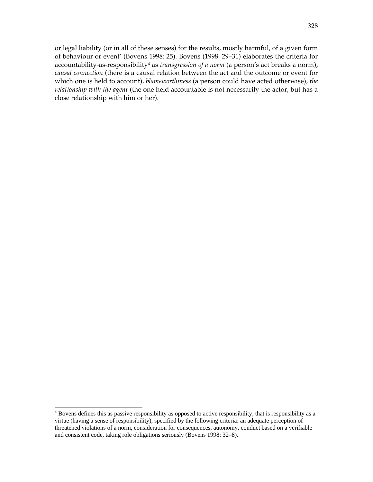or legal liability (or in all of these senses) for the results, mostly harmful, of a given form of behaviour or event' (Bovens 1998: 25). Bovens (1998: 29–31) elaborates the criteria for accountability-as-responsibility4 as *transgression of a norm* (a person's act breaks a norm), *causal connection* (there is a causal relation between the act and the outcome or event for which one is held to account), *blameworthiness* (a person could have acted otherwise), *the relationship with the agent* (the one held accountable is not necessarily the actor, but has a close relationship with him or her).

<sup>&</sup>lt;sup>4</sup> Bovens defines this as passive responsibility as opposed to active responsibility, that is responsibility as a virtue (having a sense of responsibility), specified by the following criteria: an adequate perception of threatened violations of a norm, consideration for consequences, autonomy, conduct based on a verifiable and consistent code, taking role obligations seriously (Bovens 1998: 32–8).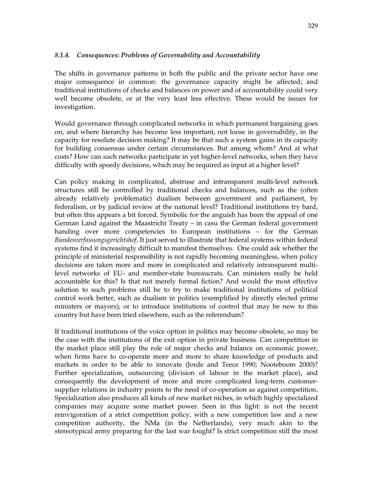# *8.1.4. Consequences: Problems of Governability and Accountability*

The shifts in governance patterns in both the public and the private sector have one major consequence in common: the governance capacity might be affected; and traditional institutions of checks and balances on power and of accountability could very well become obsolete, or at the very least less effective. These would be issues for investigation.

Would governance through complicated networks in which permanent bargaining goes on, and where hierarchy has become less important, not loose in governability, in the capacity for resolute decision making? It may be that such a system gains in its capacity for building consensus under certain circumstances. But among whom? And at what costs? How can such networks participate in yet higher-level networks, when they have difficulty with speedy decisions, which may be required as input at a higher level?

Can policy making in complicated, abstruse and intransparent multi-level network structures still be controlled by traditional checks and balances, such as the (often already relatively problematic) dualism between government and parliament, by federalism, or by judicial review at the national level? Traditional institutions try hard, but often this appears a bit forced. Symbolic for the anguish has been the appeal of one German Land against the Maastricht Treaty – in casu the German federal government handing over more competencies to European institutions – for the German *Bundesverfassungsgerichtshof*. It just served to illustrate that federal systems within federal systems find it increasingly difficult to manifest themselves. One could ask whether the principle of ministerial responsibility is not rapidly becoming meaningless, when policy decisions are taken more and more in complicated and relatively intransparent multilevel networks of EU- and member-state bureaucrats. Can ministers really be held accountable for this? Is that not merely formal fiction? And would the most effective solution to such problems still be to try to make traditional institutions of political control work better, such as dualism in politics (exemplified by directly elected prime ministers or mayors); or to introduce institutions of control that may be new to this country but have been tried elsewhere, such as the referendum?

If traditional institutions of the voice option in politics may become obsolete, so may be the case with the institutions of the exit option in private business. Can competition in the market place still play the role of major checks and balance on economic power, when firms have to co-operate more and more to share knowledge of products and markets in order to be able to innovate (Jorde and Teece 1990; Nooteboom 2000)? Further specialization, outsourcing (division of labour in the market place), and consequently the development of more and more complicated long-term customersupplier relations in industry points to the need of co-operation as against competition. Specialization also produces all kinds of new market niches, in which highly specialized companies may acquire some market power. Seen in this light: is not the recent reinvigoration of a strict competition policy, with a new competition law and a new competition authority, the NMa (in the Netherlands), very much akin to the stereotypical army preparing for the last war fought? Is strict competition still the most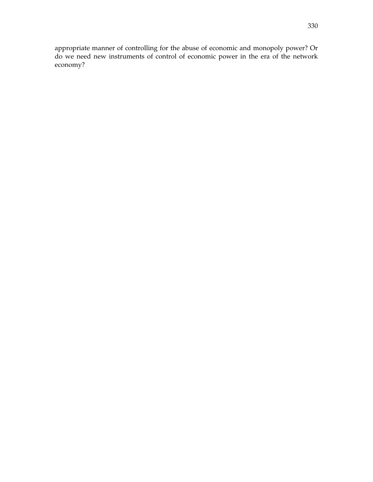appropriate manner of controlling for the abuse of economic and monopoly power? Or do we need new instruments of control of economic power in the era of the network economy?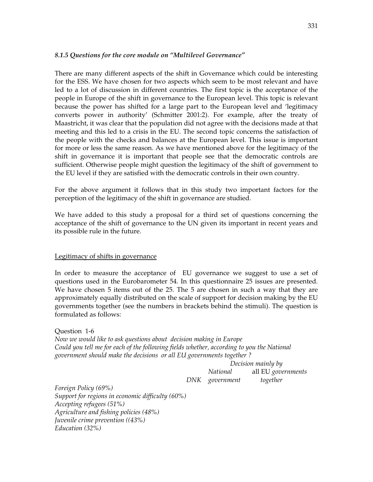#### *8.1.5 Questions for the core module on "Multilevel Governance"*

There are many different aspects of the shift in Governance which could be interesting for the ESS. We have chosen for two aspects which seem to be most relevant and have led to a lot of discussion in different countries. The first topic is the acceptance of the people in Europe of the shift in governance to the European level. This topic is relevant because the power has shifted for a large part to the European level and 'legitimacy converts power in authority' (Schmitter 2001:2). For example, after the treaty of Maastricht, it was clear that the population did not agree with the decisions made at that meeting and this led to a crisis in the EU. The second topic concerns the satisfaction of the people with the checks and balances at the European level. This issue is important for more or less the same reason. As we have mentioned above for the legitimacy of the shift in governance it is important that people see that the democratic controls are sufficient. Otherwise people might question the legitimacy of the shift of government to the EU level if they are satisfied with the democratic controls in their own country.

For the above argument it follows that in this study two important factors for the perception of the legitimacy of the shift in governance are studied.

We have added to this study a proposal for a third set of questions concerning the acceptance of the shift of governance to the UN given its important in recent years and its possible rule in the future.

#### Legitimacy of shifts in governance

In order to measure the acceptance of EU governance we suggest to use a set of questions used in the Eurobarometer 54. In this questionnaire 25 issues are presented. We have chosen 5 items out of the 25. The 5 are chosen in such a way that they are approximately equally distributed on the scale of support for decision making by the EU governments together (see the numbers in brackets behind the stimuli). The question is formulated as follows:

Question 1-6 *Now we would like to ask questions about decision making in Europe Could you tell me for each of the following fields whether, according to you the National government should make the decisions or all EU governments together ?* 

 *Decision mainly by National* all EU *governments DNK government together* 

*Foreign Policy (69%) Support for regions in economic difficulty (60%) Accepting refugees (51%) Agriculture and fishing policies (48%) Juvenile crime prevention ((43%) Education (32%)*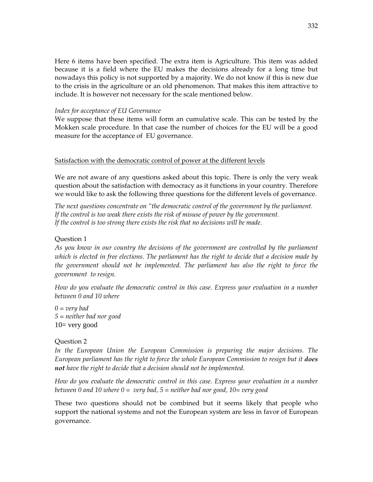Here 6 items have been specified. The extra item is Agriculture. This item was added because it is a field where the EU makes the decisions already for a long time but nowadays this policy is not supported by a majority. We do not know if this is new due to the crisis in the agriculture or an old phenomenon. That makes this item attractive to include. It is however not necessary for the scale mentioned below.

#### *Index for acceptance of EU Governance*

We suppose that these items will form an cumulative scale. This can be tested by the Mokken scale procedure. In that case the number of choices for the EU will be a good measure for the acceptance of EU governance.

#### Satisfaction with the democratic control of power at the different levels

We are not aware of any questions asked about this topic. There is only the very weak question about the satisfaction with democracy as it functions in your country. Therefore we would like to ask the following three questions for the different levels of governance.

*The next questions concentrate on "the democratic control of the government by the parliament. If the control is too weak there exists the risk of misuse of power by the government. If the control is too strong there exists the risk that no decisions will be made.* 

#### Question 1

*As you know in our country the decisions of the government are controlled by the parliament which is elected in free elections. The parliament has the right to decide that a decision made by the government should not be implemented. The parliament has also the right to force the government to resign.* 

*How do you evaluate the democratic control in this case. Express your evaluation in a number between 0 and 10 where* 

*0 = very bad 5 = neither bad nor good*   $10$  very good

#### Question 2

In the European Union the European Commission is preparing the major decisions. The *European parliament has the right to force the whole European Commission to resign but it does not have the right to decide that a decision should not be implemented.* 

*How do you evaluate the democratic control in this case. Express your evaluation in a number between 0 and 10 where 0 = very bad, 5 = neither bad nor good, 10= very good* 

These two questions should not be combined but it seems likely that people who support the national systems and not the European system are less in favor of European governance.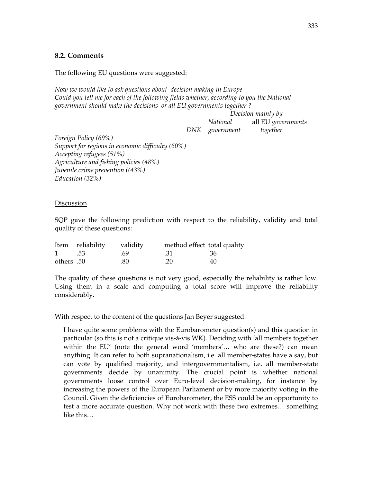# **8.2. Comments**

The following EU questions were suggested:

*Now we would like to ask questions about decision making in Europe*  Could you tell me for each of the following fields whether, according to you the National *government should make the decisions or all EU governments together ?* 

> *Decision mainly by National* all EU *governments DNK government together*

*Foreign Policy (69%) Support for regions in economic difficulty (60%) Accepting refugees (51%) Agriculture and fishing policies (48%) Juvenile crime prevention ((43%) Education (32%)* 

#### **Discussion**

SQP gave the following prediction with respect to the reliability, validity and total quality of these questions:

|            | Item reliability | validity | method effect total quality |     |
|------------|------------------|----------|-----------------------------|-----|
| $1 \t .53$ |                  | - .69    | .31<br>.36                  |     |
| others .50 |                  | .80      | .20                         | .40 |

The quality of these questions is not very good, especially the reliability is rather low. Using them in a scale and computing a total score will improve the reliability considerably.

With respect to the content of the questions Jan Beyer suggested:

I have quite some problems with the Eurobarometer question(s) and this question in particular (so this is not a critique vis-à-vis WK). Deciding with 'all members together within the EU' (note the general word 'members'… who are these?) can mean anything. It can refer to both supranationalism, i.e. all member-states have a say, but can vote by qualified majority, and intergovernmentalism, i.e. all member-state governments decide by unanimity. The crucial point is whether national governments loose control over Euro-level decision-making, for instance by increasing the powers of the European Parliament or by more majority voting in the Council. Given the deficiencies of Eurobarometer, the ESS could be an opportunity to test a more accurate question. Why not work with these two extremes… something like this…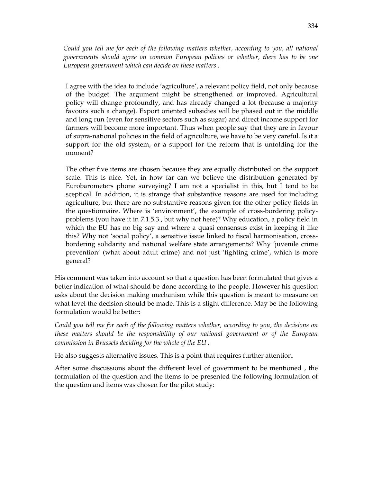*Could you tell me for each of the following matters whether, according to you, all national governments should agree on common European policies or whether, there has to be one European government which can decide on these matters .* 

I agree with the idea to include 'agriculture', a relevant policy field, not only because of the budget. The argument might be strengthened or improved. Agricultural policy will change profoundly, and has already changed a lot (because a majority favours such a change). Export oriented subsidies will be phased out in the middle and long run (even for sensitive sectors such as sugar) and direct income support for farmers will become more important. Thus when people say that they are in favour of supra-national policies in the field of agriculture, we have to be very careful. Is it a support for the old system, or a support for the reform that is unfolding for the moment?

The other five items are chosen because they are equally distributed on the support scale. This is nice. Yet, in how far can we believe the distribution generated by Eurobarometers phone surveying? I am not a specialist in this, but I tend to be sceptical. In addition, it is strange that substantive reasons are used for including agriculture, but there are no substantive reasons given for the other policy fields in the questionnaire. Where is 'environment', the example of cross-bordering policyproblems (you have it in 7.1.5.3., but why not here)? Why education, a policy field in which the EU has no big say and where a quasi consensus exist in keeping it like this? Why not 'social policy', a sensitive issue linked to fiscal harmonisation, crossbordering solidarity and national welfare state arrangements? Why 'juvenile crime prevention' (what about adult crime) and not just 'fighting crime', which is more general?

His comment was taken into account so that a question has been formulated that gives a better indication of what should be done according to the people. However his question asks about the decision making mechanism while this question is meant to measure on what level the decision should be made. This is a slight difference. May be the following formulation would be better:

*Could you tell me for each of the following matters whether, according to you, the decisions on these matters should be the responsibility of our national government or of the European commission in Brussels deciding for the whole of the EU .* 

He also suggests alternative issues. This is a point that requires further attention.

After some discussions about the different level of government to be mentioned , the formulation of the question and the items to be presented the following formulation of the question and items was chosen for the pilot study: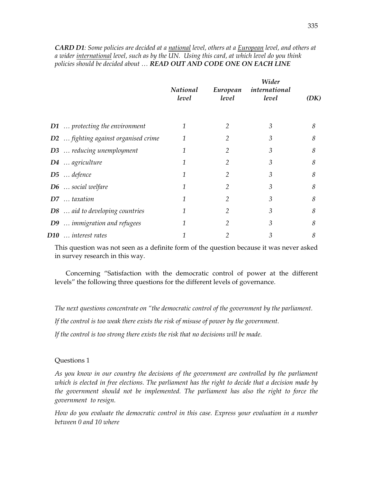*CARD D1: Some policies are decided at a national level, others at a European level, and others at a wider international level, such as by the UN. Using this card, at which level do you think policies should be decided about … READ OUT AND CODE ONE ON EACH LINE* 

|                                            | <b>National</b><br>level | European<br>level | Wider<br>international<br>level | (DK) |
|--------------------------------------------|--------------------------|-------------------|---------------------------------|------|
| $D1$ protecting the environment            | 1                        | 2                 | 3                               | 8    |
| <b>D2</b> fighting against organised crime | 1                        |                   | 3                               | 8    |
| <b>D3</b> reducing unemployment            | 1                        | 2                 | 3                               | 8    |
| D4  agriculture                            | 1                        |                   | 3                               | 8    |
| $D5$ defence                               | 1                        | 2                 | 3                               | 8    |
| $D6$ social welfare                        | 1                        | 2                 | 3                               | 8    |
| D7  taxation                               | 1                        | 2                 | 3                               | 8    |
| <b>D8</b> aid to developing countries      | 1                        | 2                 | 3                               | 8    |
| D9  immigration and refugees               | 1                        | 2                 | 3                               | 8    |
| D10  interest rates                        |                          |                   | 3                               | 8    |

This question was not seen as a definite form of the question because it was never asked in survey research in this way.

 Concerning "Satisfaction with the democratic control of power at the different levels" the following three questions for the different levels of governance.

*The next questions concentrate on "the democratic control of the government by the parliament.* 

*If the control is too weak there exists the risk of misuse of power by the government.* 

*If the control is too strong there exists the risk that no decisions will be made.* 

#### Questions 1

*As you know in our country the decisions of the government are controlled by the parliament which is elected in free elections. The parliament has the right to decide that a decision made by the government should not be implemented. The parliament has also the right to force the government to resign.* 

*How do you evaluate the democratic control in this case. Express your evaluation in a number between 0 and 10 where*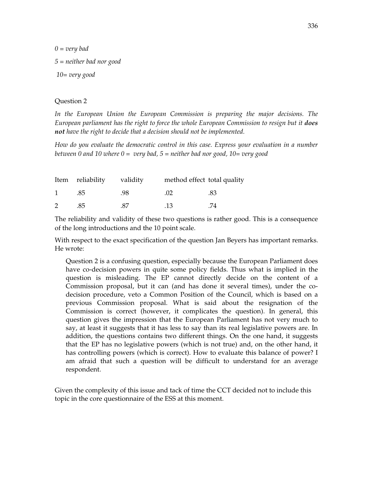*0 = very bad 5 = neither bad nor good 10= very good* 

#### Question 2

In the European Union the European Commission is preparing the major decisions. The *European parliament has the right to force the whole European Commission to resign but it does not have the right to decide that a decision should not be implemented.* 

*How do you evaluate the democratic control in this case. Express your evaluation in a number between 0 and 10 where 0 = very bad, 5 = neither bad nor good, 10= very good* 

|              | Item reliability validity |      | method effect total quality |     |
|--------------|---------------------------|------|-----------------------------|-----|
| $\mathbf{1}$ | .85                       | .98  | (1)2                        | .83 |
| 2            | .85                       | - 87 | .13                         | .74 |

The reliability and validity of these two questions is rather good. This is a consequence of the long introductions and the 10 point scale.

With respect to the exact specification of the question Jan Beyers has important remarks. He wrote:

Question 2 is a confusing question, especially because the European Parliament does have co-decision powers in quite some policy fields. Thus what is implied in the question is misleading. The EP cannot directly decide on the content of a Commission proposal, but it can (and has done it several times), under the codecision procedure, veto a Common Position of the Council, which is based on a previous Commission proposal. What is said about the resignation of the Commission is correct (however, it complicates the question). In general, this question gives the impression that the European Parliament has not very much to say, at least it suggests that it has less to say than its real legislative powers are. In addition, the questions contains two different things. On the one hand, it suggests that the EP has no legislative powers (which is not true) and, on the other hand, it has controlling powers (which is correct). How to evaluate this balance of power? I am afraid that such a question will be difficult to understand for an average respondent.

Given the complexity of this issue and tack of time the CCT decided not to include this topic in the core questionnaire of the ESS at this moment.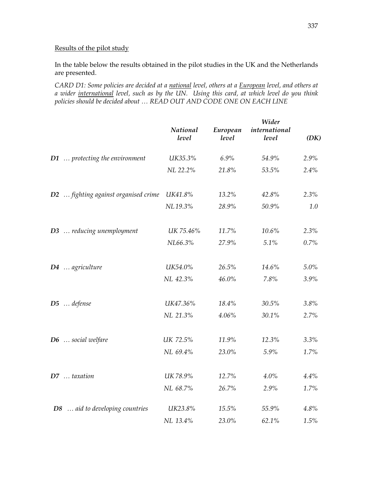# Results of the pilot study

In the table below the results obtained in the pilot studies in the UK and the Netherlands are presented.

*CARD D1: Some policies are decided at a national level, others at a European level, and others at a wider international level, such as by the UN. Using this card, at which level do you think policies should be decided about … READ OUT AND CODE ONE ON EACH LINE* 

|                                      | National<br>level | European<br>level | Wider<br>international<br>level | (DK) |
|--------------------------------------|-------------------|-------------------|---------------------------------|------|
| D1  protecting the environment       | UK35.3%           | 6.9%              | 54.9%                           | 2.9% |
|                                      | NL 22.2%          | 21.8%             | 53.5%                           | 2.4% |
| D2  fighting against organised crime | UK41.8%           | 13.2%             | 42.8%                           | 2.3% |
|                                      | NL19.3%           | 28.9%             | 50.9%                           | 1.0  |
| D3  reducing unemployment            | UK 75.46%         | 11.7%             | 10.6%                           | 2.3% |
|                                      | NL66.3%           | 27.9%             | 5.1%                            | 0.7% |
| D4  agriculture                      | UK54.0%           | 26.5%             | 14.6%                           | 5.0% |
|                                      | NL 42.3%          | 46.0%             | 7.8%                            | 3.9% |
| D5  defense                          | UK47.36%          | 18.4%             | $30.5\%$                        | 3.8% |
|                                      | NL 21.3%          | 4.06%             | 30.1%                           | 2.7% |
| $D6$ social welfare                  | UK 72.5%          | 11.9%             | 12.3%                           | 3.3% |
|                                      | NL 69.4%          | 23.0%             | 5.9%                            | 1.7% |
| D7  taxation                         | UK 78.9%          | 12.7%             | 4.0%                            | 4.4% |
|                                      | NL 68.7%          | 26.7%             | 2.9%                            | 1.7% |
| D8  aid to developing countries      | UK23.8%           | 15.5%             | 55.9%                           | 4.8% |
|                                      | NL 13.4%          | 23.0%             | 62.1%                           | 1.5% |